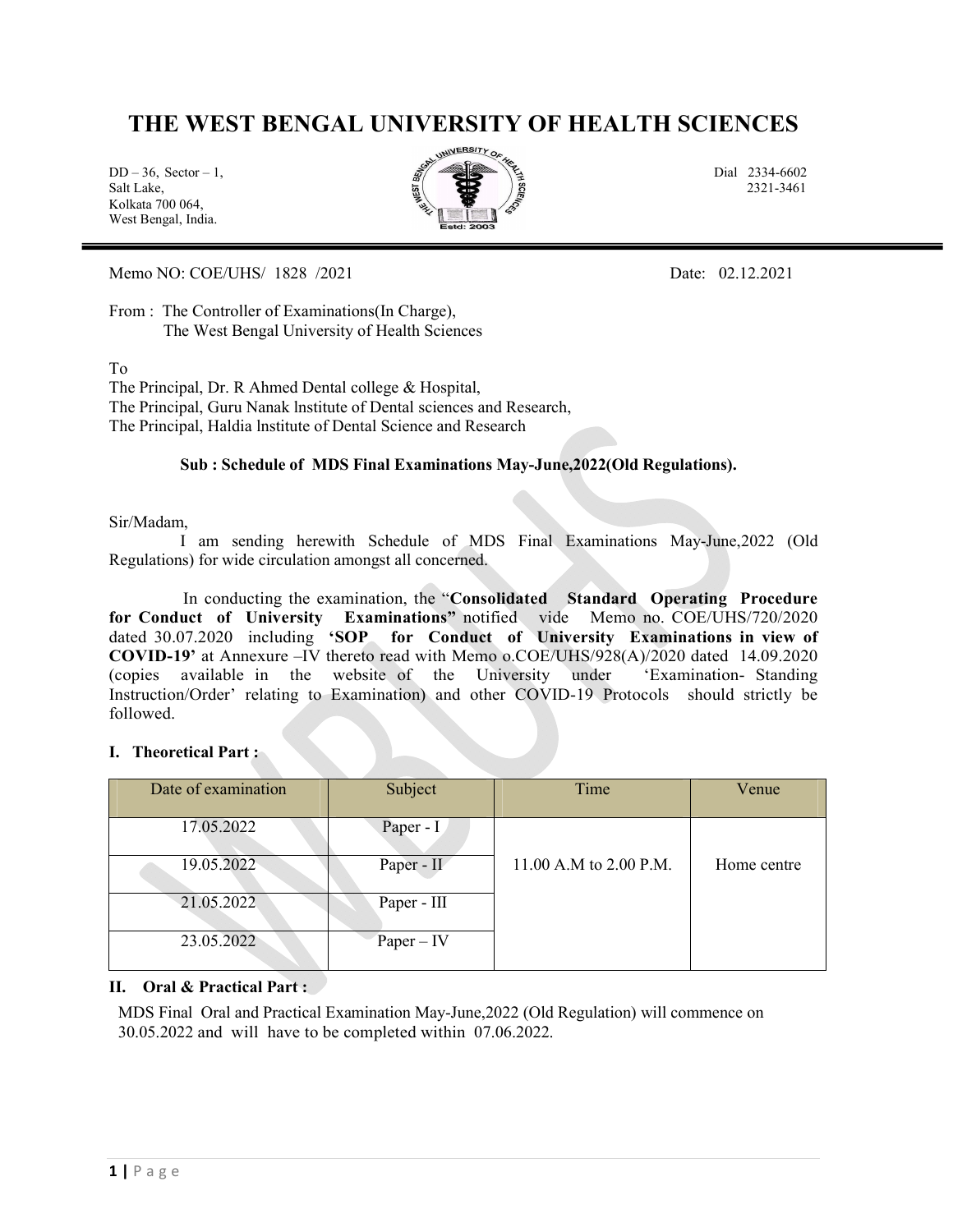## THE WEST BENGAL UNIVERSITY OF HEALTH SCIENCES

Kolkata 700 064, West Bengal, India.



Memo NO: COE/UHS/ 1828 /2021 Date: 02.12.2021

From : The Controller of Examinations (In Charge), The West Bengal University of Health Sciences

To

The Principal, Dr. R Ahmed Dental college & Hospital, The Principal, Guru Nanak lnstitute of Dental sciences and Research, The Principal, Haldia lnstitute of Dental Science and Research

#### Sub : Schedule of MDS Final Examinations May-June,2022(Old Regulations).

#### Sir/Madam,

 I am sending herewith Schedule of MDS Final Examinations May-June,2022 (Old Regulations) for wide circulation amongst all concerned.

 In conducting the examination, the "Consolidated Standard Operating Procedure for Conduct of University Examinations" notified vide Memo no. COE/UHS/720/2020 dated 30.07.2020 including 'SOP for Conduct of University Examinations in view of COVID-19' at Annexure –IV thereto read with Memo o.COE/UHS/928(A)/2020 dated 14.09.2020 (copies available in the website of the University under 'Examination- Standing Instruction/Order' relating to Examination) and other COVID-19 Protocols should strictly be followed.

### I. Theoretical Part :

| Date of examination | Subject      | Time                   | Venue       |
|---------------------|--------------|------------------------|-------------|
| 17.05.2022          | Paper - $I$  |                        |             |
| 19.05.2022          | Paper - II   | 11.00 A.M to 2.00 P.M. | Home centre |
| 21.05.2022          | Paper - III  |                        |             |
| 23.05.2022          | $Paper - IV$ |                        |             |

#### II. Oral & Practical Part :

MDS Final Oral and Practical Examination May-June,2022 (Old Regulation) will commence on 30.05.2022 and will have to be completed within 07.06.2022.